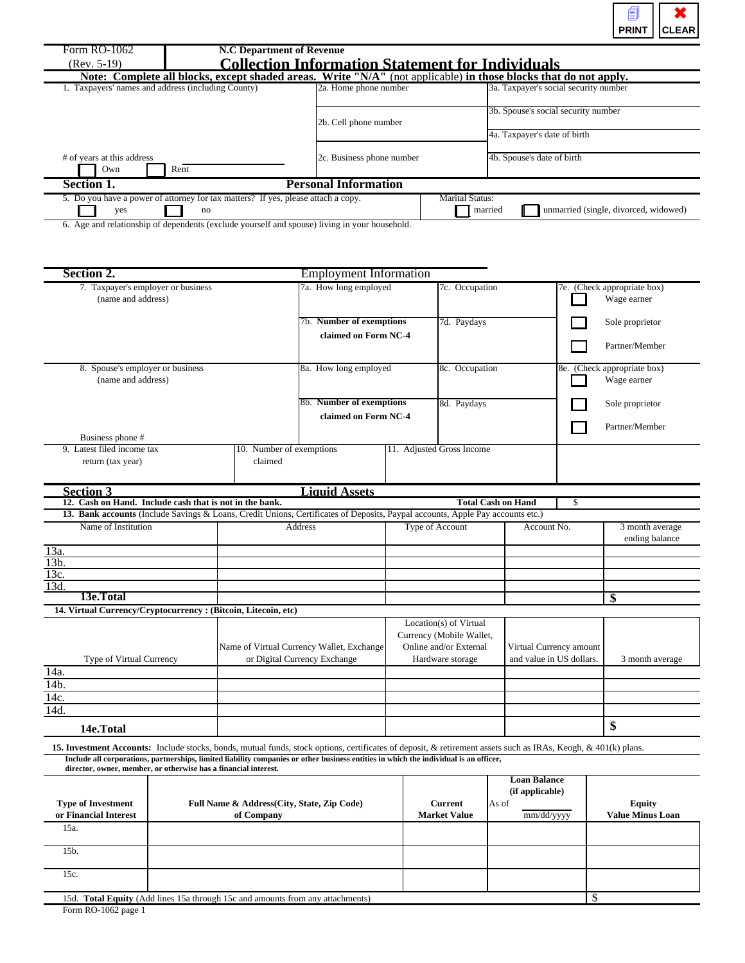

| Form RO-1062<br>$(Rev. 5-19)$                                                                                                                                                                                                                                                                           |      | <b>N.C</b> Department of Revenue                         |                                                                                                                                                                            |                                            |                                                     |               |                                            |
|---------------------------------------------------------------------------------------------------------------------------------------------------------------------------------------------------------------------------------------------------------------------------------------------------------|------|----------------------------------------------------------|----------------------------------------------------------------------------------------------------------------------------------------------------------------------------|--------------------------------------------|-----------------------------------------------------|---------------|--------------------------------------------|
|                                                                                                                                                                                                                                                                                                         |      |                                                          | <b>Collection Information Statement for Individuals</b><br>Note: Complete all blocks, except shaded areas. Write "N/A" (not applicable) in those blocks that do not apply. |                                            |                                                     |               |                                            |
| 1. Taxpayers' names and address (including County)                                                                                                                                                                                                                                                      |      |                                                          | 2a. Home phone number                                                                                                                                                      |                                            | 3a. Taxpayer's social security number               |               |                                            |
|                                                                                                                                                                                                                                                                                                         |      |                                                          |                                                                                                                                                                            |                                            |                                                     |               |                                            |
|                                                                                                                                                                                                                                                                                                         |      |                                                          | 2b. Cell phone number                                                                                                                                                      |                                            | 3b. Spouse's social security number                 |               |                                            |
|                                                                                                                                                                                                                                                                                                         |      |                                                          |                                                                                                                                                                            |                                            | 4a. Taxpayer's date of birth                        |               |                                            |
|                                                                                                                                                                                                                                                                                                         |      |                                                          |                                                                                                                                                                            |                                            |                                                     |               |                                            |
| # of years at this address<br>Own                                                                                                                                                                                                                                                                       | Rent |                                                          | 2c. Business phone number                                                                                                                                                  |                                            | 4b. Spouse's date of birth                          |               |                                            |
|                                                                                                                                                                                                                                                                                                         |      |                                                          | <b>Personal Information</b>                                                                                                                                                |                                            |                                                     |               |                                            |
| <b>Section 1.</b><br>5. Do you have a power of attorney for tax matters? If yes, please attach a copy.                                                                                                                                                                                                  |      |                                                          |                                                                                                                                                                            | <b>Marital Status:</b>                     |                                                     |               |                                            |
| yes                                                                                                                                                                                                                                                                                                     | no   |                                                          |                                                                                                                                                                            | married                                    |                                                     |               | unmarried (single, divorced, widowed)      |
| 6. Age and relationship of dependents (exclude yourself and spouse) living in your household.                                                                                                                                                                                                           |      |                                                          |                                                                                                                                                                            |                                            |                                                     |               |                                            |
|                                                                                                                                                                                                                                                                                                         |      |                                                          |                                                                                                                                                                            |                                            |                                                     |               |                                            |
|                                                                                                                                                                                                                                                                                                         |      |                                                          |                                                                                                                                                                            |                                            |                                                     |               |                                            |
|                                                                                                                                                                                                                                                                                                         |      |                                                          |                                                                                                                                                                            |                                            |                                                     |               |                                            |
| <b>Section 2.</b>                                                                                                                                                                                                                                                                                       |      |                                                          | <b>Employment Information</b>                                                                                                                                              |                                            |                                                     |               |                                            |
| 7. Taxpayer's employer or business<br>(name and address)                                                                                                                                                                                                                                                |      |                                                          | 7a. How long employed                                                                                                                                                      | 7c. Occupation                             |                                                     |               | 7e. (Check appropriate box)<br>Wage earner |
|                                                                                                                                                                                                                                                                                                         |      |                                                          |                                                                                                                                                                            |                                            |                                                     |               |                                            |
|                                                                                                                                                                                                                                                                                                         |      |                                                          | 7b. Number of exemptions                                                                                                                                                   | 7d. Paydays                                |                                                     |               | Sole proprietor                            |
|                                                                                                                                                                                                                                                                                                         |      |                                                          | claimed on Form NC-4                                                                                                                                                       |                                            |                                                     |               |                                            |
|                                                                                                                                                                                                                                                                                                         |      |                                                          |                                                                                                                                                                            |                                            |                                                     |               | Partner/Member                             |
| 8. Spouse's employer or business                                                                                                                                                                                                                                                                        |      |                                                          | 8a. How long employed                                                                                                                                                      | 8c. Occupation                             |                                                     |               | 8e. (Check appropriate box)                |
| (name and address)                                                                                                                                                                                                                                                                                      |      |                                                          |                                                                                                                                                                            |                                            |                                                     |               | Wage earner                                |
|                                                                                                                                                                                                                                                                                                         |      |                                                          |                                                                                                                                                                            |                                            |                                                     |               |                                            |
|                                                                                                                                                                                                                                                                                                         |      |                                                          | 8b. Number of exemptions                                                                                                                                                   | 8d. Paydays                                |                                                     |               | Sole proprietor                            |
|                                                                                                                                                                                                                                                                                                         |      |                                                          | claimed on Form NC-4                                                                                                                                                       |                                            |                                                     |               | Partner/Member                             |
| Business phone #                                                                                                                                                                                                                                                                                        |      |                                                          |                                                                                                                                                                            |                                            |                                                     |               |                                            |
| 9. Latest filed income tax                                                                                                                                                                                                                                                                              |      | 10. Number of exemptions                                 |                                                                                                                                                                            | 11. Adjusted Gross Income                  |                                                     |               |                                            |
| return (tax year)                                                                                                                                                                                                                                                                                       |      | claimed                                                  |                                                                                                                                                                            |                                            |                                                     |               |                                            |
|                                                                                                                                                                                                                                                                                                         |      |                                                          |                                                                                                                                                                            |                                            |                                                     |               |                                            |
|                                                                                                                                                                                                                                                                                                         |      |                                                          |                                                                                                                                                                            |                                            |                                                     |               |                                            |
| <b>Section 3</b>                                                                                                                                                                                                                                                                                        |      |                                                          | <b>Liquid Assets</b>                                                                                                                                                       |                                            |                                                     |               |                                            |
| 12. Cash on Hand. Include cash that is not in the bank.                                                                                                                                                                                                                                                 |      |                                                          |                                                                                                                                                                            |                                            | <b>Total Cash on Hand</b>                           | <sup>\$</sup> |                                            |
| 13. Bank accounts (Include Savings & Loans, Credit Unions, Certificates of Deposits, Paypal accounts, Apple Pay accounts etc.)<br>Name of Institution                                                                                                                                                   |      |                                                          | Address                                                                                                                                                                    | Type of Account                            | Account No.                                         |               | 3 month average                            |
|                                                                                                                                                                                                                                                                                                         |      |                                                          |                                                                                                                                                                            |                                            |                                                     |               | ending balance                             |
| 13a.                                                                                                                                                                                                                                                                                                    |      |                                                          |                                                                                                                                                                            |                                            |                                                     |               |                                            |
| 13 <sub>b</sub>                                                                                                                                                                                                                                                                                         |      |                                                          |                                                                                                                                                                            |                                            |                                                     |               |                                            |
| 13c.                                                                                                                                                                                                                                                                                                    |      |                                                          |                                                                                                                                                                            |                                            |                                                     |               |                                            |
| 13d.<br>13e.Total                                                                                                                                                                                                                                                                                       |      |                                                          |                                                                                                                                                                            |                                            |                                                     |               | \$                                         |
| 14. Virtual Currency/Cryptocurrency: (Bitcoin, Litecoin, etc)                                                                                                                                                                                                                                           |      |                                                          |                                                                                                                                                                            |                                            |                                                     |               |                                            |
|                                                                                                                                                                                                                                                                                                         |      |                                                          |                                                                                                                                                                            | Location(s) of Virtual                     |                                                     |               |                                            |
|                                                                                                                                                                                                                                                                                                         |      |                                                          |                                                                                                                                                                            | Currency (Mobile Wallet,                   |                                                     |               |                                            |
|                                                                                                                                                                                                                                                                                                         |      |                                                          | Name of Virtual Currency Wallet, Exchange<br>or Digital Currency Exchange                                                                                                  | Online and/or External<br>Hardware storage | Virtual Currency amount<br>and value in US dollars. |               | 3 month average                            |
| Type of Virtual Currency                                                                                                                                                                                                                                                                                |      |                                                          |                                                                                                                                                                            |                                            |                                                     |               |                                            |
| <u>14a.</u><br>14b.                                                                                                                                                                                                                                                                                     |      |                                                          |                                                                                                                                                                            |                                            |                                                     |               |                                            |
| 14c.                                                                                                                                                                                                                                                                                                    |      |                                                          |                                                                                                                                                                            |                                            |                                                     |               |                                            |
| 14d.                                                                                                                                                                                                                                                                                                    |      |                                                          |                                                                                                                                                                            |                                            |                                                     |               |                                            |
|                                                                                                                                                                                                                                                                                                         |      |                                                          |                                                                                                                                                                            |                                            |                                                     |               | \$                                         |
| 14e.Total                                                                                                                                                                                                                                                                                               |      |                                                          |                                                                                                                                                                            |                                            |                                                     |               |                                            |
| 15. Investment Accounts: Include stocks, bonds, mutual funds, stock options, certificates of deposit, & retirement assets such as IRAs, Keogh, & 401(k) plans.<br>Include all corporations, partnerships, limited liability companies or other business entities in which the individual is an officer, |      |                                                          |                                                                                                                                                                            |                                            |                                                     |               |                                            |
| director, owner, member, or otherwise has a financial interest.                                                                                                                                                                                                                                         |      |                                                          |                                                                                                                                                                            |                                            |                                                     |               |                                            |
|                                                                                                                                                                                                                                                                                                         |      |                                                          |                                                                                                                                                                            |                                            | <b>Loan Balance</b>                                 |               |                                            |
|                                                                                                                                                                                                                                                                                                         |      |                                                          |                                                                                                                                                                            |                                            | (if applicable)                                     |               |                                            |
| <b>Type of Investment</b><br>or Financial Interest                                                                                                                                                                                                                                                      |      | Full Name & Address(City, State, Zip Code)<br>of Company |                                                                                                                                                                            | Current<br><b>Market Value</b>             | As of<br>mm/dd/yyyy                                 |               | <b>Equity</b><br><b>Value Minus Loan</b>   |
| 15a.                                                                                                                                                                                                                                                                                                    |      |                                                          |                                                                                                                                                                            |                                            |                                                     |               |                                            |
|                                                                                                                                                                                                                                                                                                         |      |                                                          |                                                                                                                                                                            |                                            |                                                     |               |                                            |
| 15b.                                                                                                                                                                                                                                                                                                    |      |                                                          |                                                                                                                                                                            |                                            |                                                     |               |                                            |
|                                                                                                                                                                                                                                                                                                         |      |                                                          |                                                                                                                                                                            |                                            |                                                     |               |                                            |
| 15c.                                                                                                                                                                                                                                                                                                    |      |                                                          |                                                                                                                                                                            |                                            |                                                     |               |                                            |

Form RO-1062 page 1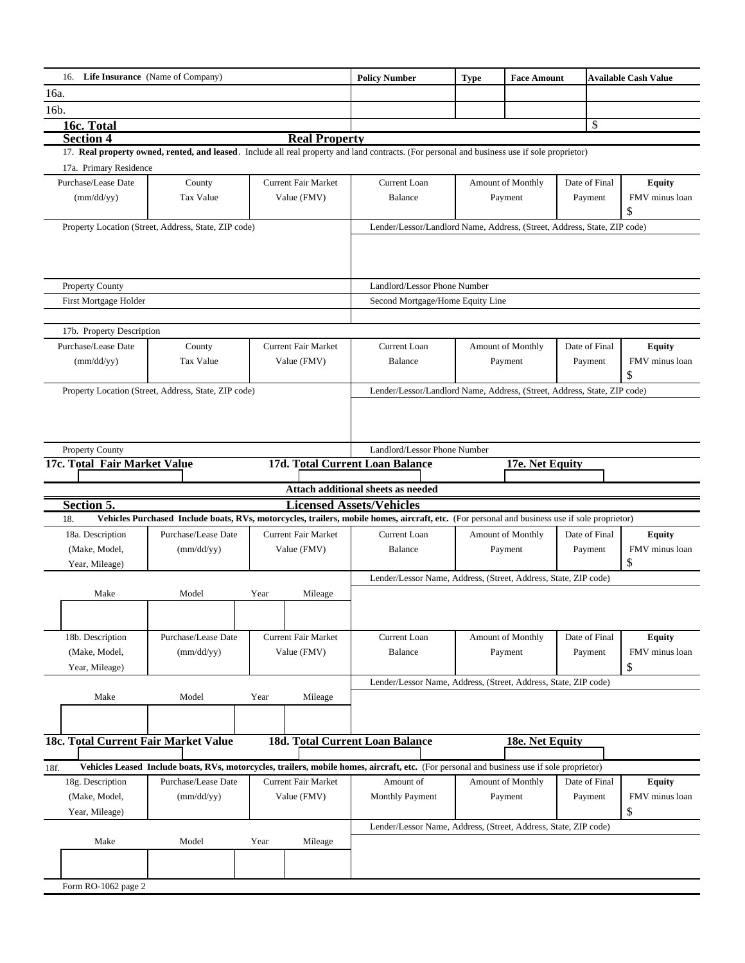| 16. Life Insurance (Name of Company)                 |                                                      |      |                            | <b>Policy Number</b>                                                                                                                          | Type | <b>Available Cash Value</b><br><b>Face Amount</b> |               |                |  |
|------------------------------------------------------|------------------------------------------------------|------|----------------------------|-----------------------------------------------------------------------------------------------------------------------------------------------|------|---------------------------------------------------|---------------|----------------|--|
| 16a.                                                 |                                                      |      |                            |                                                                                                                                               |      |                                                   |               |                |  |
| 16b.                                                 |                                                      |      |                            |                                                                                                                                               |      |                                                   |               |                |  |
| 16c. Total                                           |                                                      |      |                            |                                                                                                                                               |      |                                                   | $\mathcal{S}$ |                |  |
| <b>Section 4</b>                                     |                                                      |      | <b>Real Property</b>       |                                                                                                                                               |      |                                                   |               |                |  |
|                                                      |                                                      |      |                            | 17. Real property owned, rented, and leased. Include all real property and land contracts. (For personal and business use if sole proprietor) |      |                                                   |               |                |  |
| 17a. Primary Residence                               |                                                      |      |                            |                                                                                                                                               |      |                                                   |               |                |  |
| Purchase/Lease Date                                  | County                                               |      | <b>Current Fair Market</b> | Current Loan                                                                                                                                  |      | Amount of Monthly                                 | Date of Final | <b>Equity</b>  |  |
| (mm/dd/yy)                                           | Tax Value                                            |      | Value (FMV)                | <b>Balance</b>                                                                                                                                |      | Payment                                           | Payment       | FMV minus loan |  |
|                                                      |                                                      | \$   |                            |                                                                                                                                               |      |                                                   |               |                |  |
| Property Location (Street, Address, State, ZIP code) |                                                      |      |                            | Lender/Lessor/Landlord Name, Address, (Street, Address, State, ZIP code)                                                                      |      |                                                   |               |                |  |
|                                                      |                                                      |      |                            |                                                                                                                                               |      |                                                   |               |                |  |
|                                                      |                                                      |      |                            |                                                                                                                                               |      |                                                   |               |                |  |
|                                                      |                                                      |      |                            |                                                                                                                                               |      |                                                   |               |                |  |
| Property County                                      |                                                      |      |                            | Landlord/Lessor Phone Number                                                                                                                  |      |                                                   |               |                |  |
| First Mortgage Holder                                |                                                      |      |                            | Second Mortgage/Home Equity Line                                                                                                              |      |                                                   |               |                |  |
|                                                      |                                                      |      |                            |                                                                                                                                               |      |                                                   |               |                |  |
| 17b. Property Description                            |                                                      |      |                            |                                                                                                                                               |      |                                                   |               |                |  |
| Purchase/Lease Date                                  | County                                               |      | <b>Current Fair Market</b> | Current Loan                                                                                                                                  |      | Amount of Monthly                                 | Date of Final | <b>Equity</b>  |  |
| (mm/dd/yy)                                           | Tax Value                                            |      | Value (FMV)                | <b>Balance</b>                                                                                                                                |      | Payment                                           | Payment       | FMV minus loan |  |
|                                                      |                                                      |      |                            |                                                                                                                                               |      |                                                   |               | \$             |  |
|                                                      | Property Location (Street, Address, State, ZIP code) |      |                            | Lender/Lessor/Landlord Name, Address, (Street, Address, State, ZIP code)                                                                      |      |                                                   |               |                |  |
|                                                      |                                                      |      |                            |                                                                                                                                               |      |                                                   |               |                |  |
|                                                      |                                                      |      |                            |                                                                                                                                               |      |                                                   |               |                |  |
|                                                      |                                                      |      |                            |                                                                                                                                               |      |                                                   |               |                |  |
| <b>Property County</b>                               |                                                      |      |                            | Landlord/Lessor Phone Number                                                                                                                  |      |                                                   |               |                |  |
| 17c. Total Fair Market Value                         |                                                      |      |                            | 17d. Total Current Loan Balance                                                                                                               |      | 17e. Net Equity                                   |               |                |  |
|                                                      |                                                      |      |                            |                                                                                                                                               |      |                                                   |               |                |  |
|                                                      |                                                      |      |                            | Attach additional sheets as needed                                                                                                            |      |                                                   |               |                |  |
| Section 5.                                           |                                                      |      |                            | <b>Licensed Assets/Vehicles</b>                                                                                                               |      |                                                   |               |                |  |
| 18.                                                  |                                                      |      |                            | Vehicles Purchased Include boats, RVs, motorcycles, trailers, mobile homes, aircraft, etc. (For personal and business use if sole proprietor) |      |                                                   |               |                |  |
| 18a. Description                                     | Purchase/Lease Date                                  |      | <b>Current Fair Market</b> | Current Loan                                                                                                                                  |      | <b>Amount of Monthly</b>                          | Date of Final | <b>Equity</b>  |  |
| (Make, Model,                                        | (mm/dd/yy)                                           |      | Value (FMV)                | Balance                                                                                                                                       |      | Payment                                           | Payment       | FMV minus loan |  |
| Year, Mileage)                                       |                                                      |      |                            |                                                                                                                                               |      |                                                   |               | \$             |  |
|                                                      |                                                      |      |                            | Lender/Lessor Name, Address, (Street, Address, State, ZIP code)                                                                               |      |                                                   |               |                |  |
| Make                                                 | Model                                                | Year | Mileage                    |                                                                                                                                               |      |                                                   |               |                |  |
|                                                      |                                                      |      |                            |                                                                                                                                               |      |                                                   |               |                |  |
|                                                      |                                                      |      |                            |                                                                                                                                               |      |                                                   |               |                |  |
| 18b. Description                                     | Purchase/Lease Date                                  |      | Current Fair Market        | <b>Current Loan</b>                                                                                                                           |      | <b>Amount of Monthly</b>                          | Date of Final | <b>Equity</b>  |  |
| (Make, Model,                                        | $\text{(mm/dd/yy)}$                                  |      | Value (FMV)                | Balance                                                                                                                                       |      | Payment                                           | Payment       | FMV minus loan |  |
| Year, Mileage)                                       |                                                      |      |                            |                                                                                                                                               |      |                                                   |               | \$             |  |
|                                                      |                                                      |      |                            | Lender/Lessor Name, Address, (Street, Address, State, ZIP code)                                                                               |      |                                                   |               |                |  |
| Make                                                 | Model                                                | Year | Mileage                    |                                                                                                                                               |      |                                                   |               |                |  |
|                                                      |                                                      |      |                            |                                                                                                                                               |      |                                                   |               |                |  |
|                                                      |                                                      |      |                            |                                                                                                                                               |      |                                                   |               |                |  |
| 18c. Total Current Fair Market Value                 |                                                      |      |                            | 18d. Total Current Loan Balance                                                                                                               |      | 18e. Net Equity                                   |               |                |  |
|                                                      |                                                      |      |                            | Vehicles Leased Include boats, RVs, motorcycles, trailers, mobile homes, aircraft, etc. (For personal and business use if sole proprietor)    |      |                                                   |               |                |  |
| 18f.<br>18g. Description                             | Purchase/Lease Date                                  |      | <b>Current Fair Market</b> | Amount of                                                                                                                                     |      | <b>Amount of Monthly</b>                          | Date of Final | <b>Equity</b>  |  |
|                                                      |                                                      |      |                            |                                                                                                                                               |      |                                                   |               |                |  |
| (Make, Model,                                        | $\text{(mm/dd/yy)}$                                  |      | Value (FMV)                | Monthly Payment                                                                                                                               |      | Payment                                           | Payment       | FMV minus loan |  |
| Year, Mileage)                                       |                                                      |      |                            |                                                                                                                                               |      |                                                   |               | \$             |  |
|                                                      |                                                      |      |                            | Lender/Lessor Name, Address, (Street, Address, State, ZIP code)                                                                               |      |                                                   |               |                |  |
|                                                      |                                                      |      |                            |                                                                                                                                               |      |                                                   |               |                |  |
| Make                                                 | Model                                                | Year | Mileage                    |                                                                                                                                               |      |                                                   |               |                |  |
|                                                      |                                                      |      |                            |                                                                                                                                               |      |                                                   |               |                |  |
| Form RO-1062 page 2                                  |                                                      |      |                            |                                                                                                                                               |      |                                                   |               |                |  |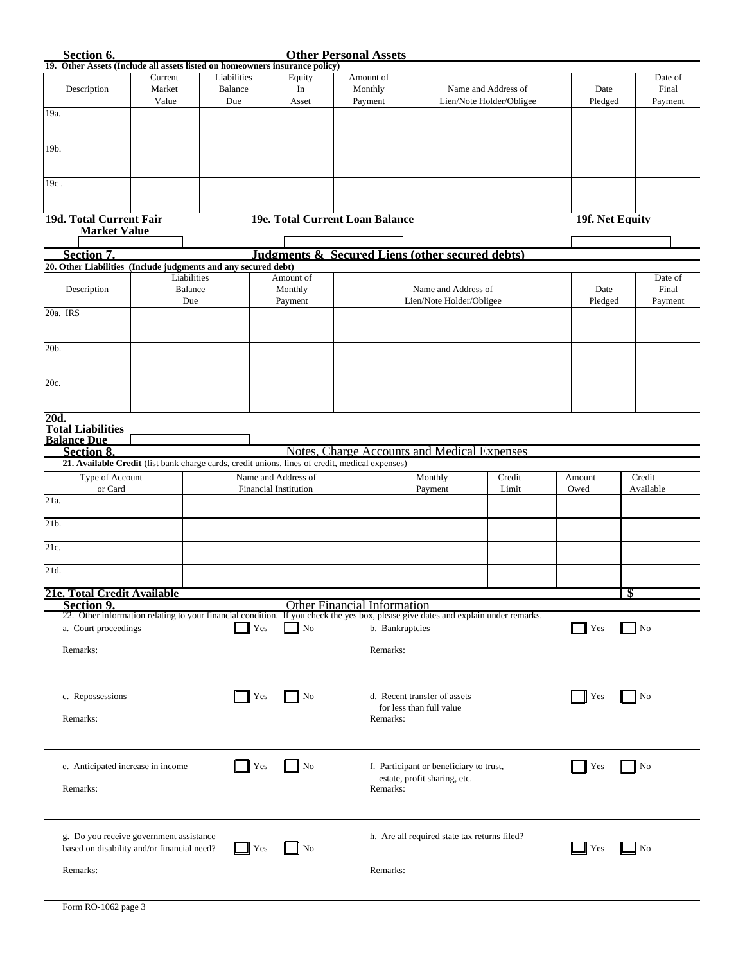| Section 6.                                                                                 |                                                                                                 |                               |                              | <b>Other Personal Assets</b>       |                                                                                                                                    |                                                 |                 |                             |
|--------------------------------------------------------------------------------------------|-------------------------------------------------------------------------------------------------|-------------------------------|------------------------------|------------------------------------|------------------------------------------------------------------------------------------------------------------------------------|-------------------------------------------------|-----------------|-----------------------------|
| 19. Other Assets (Include all assets listed on homeowners insurance policy)<br>Description | Current<br>Market<br>Value                                                                      | Liabilities<br>Balance<br>Due | Equity<br>In<br>Asset        | Amount of<br>Monthly<br>Payment    |                                                                                                                                    | Name and Address of<br>Lien/Note Holder/Obligee | Date<br>Pledged | Date of<br>Final<br>Payment |
| 19a.                                                                                       |                                                                                                 |                               |                              |                                    |                                                                                                                                    |                                                 |                 |                             |
| 19b.                                                                                       |                                                                                                 |                               |                              |                                    |                                                                                                                                    |                                                 |                 |                             |
| 19c.                                                                                       |                                                                                                 |                               |                              |                                    |                                                                                                                                    |                                                 |                 |                             |
| 19d. Total Current Fair<br><b>Market Value</b>                                             |                                                                                                 |                               |                              | 19e. Total Current Loan Balance    |                                                                                                                                    |                                                 | 19f. Net Equity |                             |
| Section 7.                                                                                 |                                                                                                 |                               |                              |                                    | Judgments & Secured Liens (other secured debts)                                                                                    |                                                 |                 |                             |
| 20. Other Liabilities (Include judgments and any secured debt)                             | Liabilities                                                                                     |                               | Amount of                    |                                    |                                                                                                                                    |                                                 |                 | Date of                     |
| Description                                                                                | Balance<br>Due                                                                                  |                               | Monthly<br>Payment           |                                    | Name and Address of<br>Lien/Note Holder/Obligee                                                                                    |                                                 | Date<br>Pledged | Final<br>Payment            |
| $20a$ . IRS                                                                                |                                                                                                 |                               |                              |                                    |                                                                                                                                    |                                                 |                 |                             |
| 20b.                                                                                       |                                                                                                 |                               |                              |                                    |                                                                                                                                    |                                                 |                 |                             |
| 20c.                                                                                       |                                                                                                 |                               |                              |                                    |                                                                                                                                    |                                                 |                 |                             |
| 20d.<br><b>Total Liabilities</b><br><b>Balance Due</b>                                     |                                                                                                 |                               |                              |                                    |                                                                                                                                    |                                                 |                 |                             |
| <b>Section 8.</b>                                                                          | 21. Available Credit (list bank charge cards, credit unions, lines of credit, medical expenses) |                               |                              |                                    | Notes, Charge Accounts and Medical Expenses                                                                                        |                                                 |                 |                             |
| Type of Account                                                                            |                                                                                                 |                               | Name and Address of          |                                    | Monthly                                                                                                                            | Credit                                          | Amount          | Credit                      |
| or Card<br>21a.                                                                            |                                                                                                 |                               | <b>Financial Institution</b> |                                    | Payment                                                                                                                            | Limit                                           | Owed            | Available                   |
| $\overline{21b}$ .                                                                         |                                                                                                 |                               |                              |                                    |                                                                                                                                    |                                                 |                 |                             |
| 21c.                                                                                       |                                                                                                 |                               |                              |                                    |                                                                                                                                    |                                                 |                 |                             |
| 21d.                                                                                       |                                                                                                 |                               |                              |                                    |                                                                                                                                    |                                                 |                 |                             |
| <u> 21e. Total Credit Available</u><br>Section 9.                                          |                                                                                                 |                               |                              | <b>Other Financial Information</b> |                                                                                                                                    |                                                 |                 |                             |
| a. Court proceedings                                                                       |                                                                                                 | Yes                           | No                           | b. Bankruptcies                    | 22. Other information relating to your financial condition. If you check the yes box, please give dates and explain under remarks. |                                                 | Yes             | $\Box$ No                   |
| Remarks:                                                                                   |                                                                                                 |                               |                              | Remarks:                           |                                                                                                                                    |                                                 |                 |                             |
| c. Repossessions                                                                           |                                                                                                 | Yes                           | No                           |                                    | d. Recent transfer of assets<br>for less than full value                                                                           |                                                 | Yes             | $\overline{N}$              |
| Remarks:                                                                                   |                                                                                                 |                               |                              | Remarks:                           |                                                                                                                                    |                                                 |                 |                             |
| e. Anticipated increase in income                                                          |                                                                                                 | Yes                           | $\overline{\phantom{a}}$ No  |                                    | f. Participant or beneficiary to trust,                                                                                            |                                                 | Yes             | No                          |
| Remarks:                                                                                   |                                                                                                 |                               |                              | Remarks:                           | estate, profit sharing, etc.                                                                                                       |                                                 |                 |                             |
|                                                                                            | g. Do you receive government assistance<br>based on disability and/or financial need?           |                               | No                           |                                    | h. Are all required state tax returns filed?                                                                                       |                                                 |                 | No                          |
| Remarks:                                                                                   |                                                                                                 | Yes                           |                              | Remarks:                           |                                                                                                                                    |                                                 | Yes             |                             |
|                                                                                            |                                                                                                 |                               |                              |                                    |                                                                                                                                    |                                                 |                 |                             |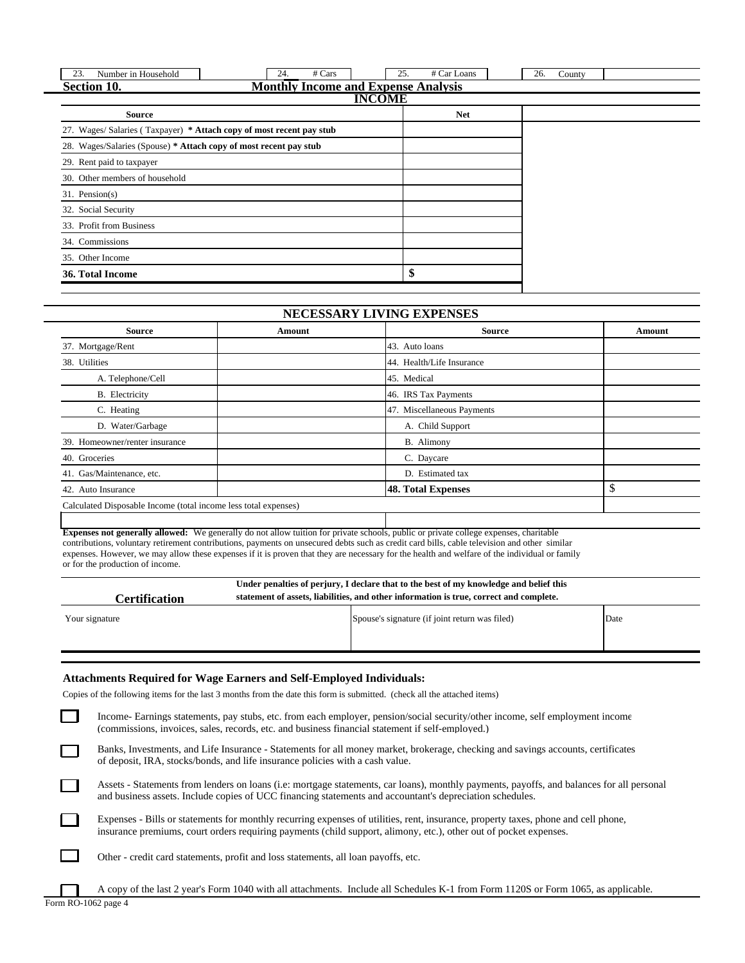| 23.<br>Number in Household                                          | 24.<br># Cars | 25.<br># Car Loans | 26.<br>County |  |  |  |  |  |  |  |
|---------------------------------------------------------------------|---------------|--------------------|---------------|--|--|--|--|--|--|--|
| <b>Monthly Income and Expense Analysis</b><br>Section 10.           |               |                    |               |  |  |  |  |  |  |  |
|                                                                     |               | <b>INCOME</b>      |               |  |  |  |  |  |  |  |
| <b>Source</b>                                                       |               | <b>Net</b>         |               |  |  |  |  |  |  |  |
| 27. Wages/Salaries (Taxpayer) * Attach copy of most recent pay stub |               |                    |               |  |  |  |  |  |  |  |
| 28. Wages/Salaries (Spouse) * Attach copy of most recent pay stub   |               |                    |               |  |  |  |  |  |  |  |
| 29. Rent paid to taxpayer                                           |               |                    |               |  |  |  |  |  |  |  |
| Other members of household<br>30.                                   |               |                    |               |  |  |  |  |  |  |  |
| $31.$ Pension(s)                                                    |               |                    |               |  |  |  |  |  |  |  |
| 32. Social Security                                                 |               |                    |               |  |  |  |  |  |  |  |
| 33. Profit from Business                                            |               |                    |               |  |  |  |  |  |  |  |
| 34. Commissions                                                     |               |                    |               |  |  |  |  |  |  |  |
| 35. Other Income                                                    |               |                    |               |  |  |  |  |  |  |  |
| 36. Total Income                                                    |               | \$                 |               |  |  |  |  |  |  |  |
|                                                                     |               |                    |               |  |  |  |  |  |  |  |

| NECESSARY LIVING EXPENSES                                       |        |                            |         |  |  |  |  |  |
|-----------------------------------------------------------------|--------|----------------------------|---------|--|--|--|--|--|
| <b>Source</b>                                                   | Amount | Source                     | Amount  |  |  |  |  |  |
| 37. Mortgage/Rent                                               |        | 43. Auto loans             |         |  |  |  |  |  |
| 38. Utilities                                                   |        | 44. Health/Life Insurance  |         |  |  |  |  |  |
| A. Telephone/Cell                                               |        | 45. Medical                |         |  |  |  |  |  |
| <b>B.</b> Electricity                                           |        | 46. IRS Tax Payments       |         |  |  |  |  |  |
| C. Heating                                                      |        | 47. Miscellaneous Payments |         |  |  |  |  |  |
| D. Water/Garbage                                                |        | A. Child Support           |         |  |  |  |  |  |
| 39. Homeowner/renter insurance                                  |        | B. Alimony                 |         |  |  |  |  |  |
| 40. Groceries                                                   |        | C. Daycare                 |         |  |  |  |  |  |
| 41. Gas/Maintenance, etc.                                       |        | D. Estimated tax           |         |  |  |  |  |  |
| 42. Auto Insurance                                              |        | <b>48. Total Expenses</b>  | ¢<br>ъD |  |  |  |  |  |
| Calculated Disposable Income (total income less total expenses) |        |                            |         |  |  |  |  |  |
|                                                                 |        |                            |         |  |  |  |  |  |

**Expenses not generally allowed:** We generally do not allow tuition for private schools, public or private college expenses, charitable

contributions, voluntary retirement contributions, payments on unsecured debts such as credit card bills, cable television and other similar expenses. However, we may allow these expenses if it is proven that they are necessary for the health and welfare of the individual or family

or for the production of income.

| Under penalties of perjury, I declare that to the best of my knowledge and belief this |                                                                                        |                                                |      |  |  |  |  |
|----------------------------------------------------------------------------------------|----------------------------------------------------------------------------------------|------------------------------------------------|------|--|--|--|--|
| Certification                                                                          | statement of assets, liabilities, and other information is true, correct and complete. |                                                |      |  |  |  |  |
| Your signature                                                                         |                                                                                        | Spouse's signature (if joint return was filed) | Date |  |  |  |  |
|                                                                                        |                                                                                        |                                                |      |  |  |  |  |

## **Attachments Required for Wage Earners and Self-Employed Individuals:**

Copies of the following items for the last 3 months from the date this form is submitted. (check all the attached items)

| Income- Earnings statements, pay stubs, etc. from each employer, pension/social security/other income, self employment income<br>(commissions, invoices, sales, records, etc. and business financial statement if self-employed.)                       |
|---------------------------------------------------------------------------------------------------------------------------------------------------------------------------------------------------------------------------------------------------------|
| Banks, Investments, and Life Insurance - Statements for all money market, brokerage, checking and savings accounts, certificates<br>of deposit, IRA, stocks/bonds, and life insurance policies with a cash value.                                       |
| Assets - Statements from lenders on loans (i.e: mortgage statements, car loans), monthly payments, payoffs, and balances for all personal<br>and business assets. Include copies of UCC financing statements and accountant's depreciation schedules.   |
| Expenses - Bills or statements for monthly recurring expenses of utilities, rent, insurance, property taxes, phone and cell phone,<br>insurance premiums, court orders requiring payments (child support, alimony, etc.), other out of pocket expenses. |
| Other - credit card statements, profit and loss statements, all loan payoffs, etc.                                                                                                                                                                      |
| A copy of the last 2 year's Form 1040 with all attachments. Include all Schedules K-1 from Form 1120S or Form 1065, as applicable.                                                                                                                      |

Form RO-1062 page 4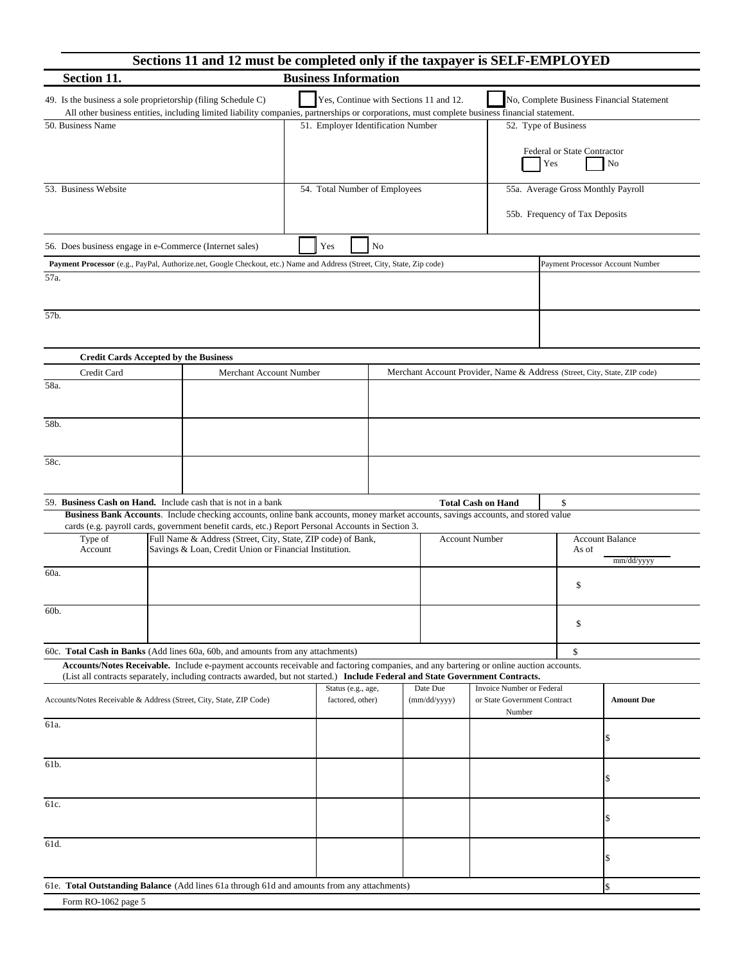|                      | Sections 11 and 12 must be completed only if the taxpayer is SELF-EMPLOYED                                                                                                                                                                                                |                                        |    |                                    |                                                                           |                             |                                           |
|----------------------|---------------------------------------------------------------------------------------------------------------------------------------------------------------------------------------------------------------------------------------------------------------------------|----------------------------------------|----|------------------------------------|---------------------------------------------------------------------------|-----------------------------|-------------------------------------------|
| Section 11.          |                                                                                                                                                                                                                                                                           | <b>Business Information</b>            |    |                                    |                                                                           |                             |                                           |
|                      | 49. Is the business a sole proprietorship (filing Schedule C)<br>All other business entities, including limited liability companies, partnerships or corporations, must complete business financial statement.                                                            | Yes, Continue with Sections 11 and 12. |    |                                    |                                                                           |                             | No, Complete Business Financial Statement |
| 50. Business Name    |                                                                                                                                                                                                                                                                           | 51. Employer Identification Number     |    |                                    | 52. Type of Business                                                      |                             |                                           |
|                      |                                                                                                                                                                                                                                                                           |                                        |    |                                    | Yes                                                                       | Federal or State Contractor | No                                        |
| 53. Business Website | 54. Total Number of Employees                                                                                                                                                                                                                                             |                                        |    | 55a. Average Gross Monthly Payroll |                                                                           |                             |                                           |
|                      |                                                                                                                                                                                                                                                                           |                                        |    |                                    | 55b. Frequency of Tax Deposits                                            |                             |                                           |
|                      | 56. Does business engage in e-Commerce (Internet sales)                                                                                                                                                                                                                   | Yes                                    | No |                                    |                                                                           |                             |                                           |
|                      | Payment Processor (e.g., PayPal, Authorize.net, Google Checkout, etc.) Name and Address (Street, City, State, Zip code)                                                                                                                                                   |                                        |    |                                    |                                                                           |                             | Payment Processor Account Number          |
| 57a.                 |                                                                                                                                                                                                                                                                           |                                        |    |                                    |                                                                           |                             |                                           |
| 57b.                 |                                                                                                                                                                                                                                                                           |                                        |    |                                    |                                                                           |                             |                                           |
|                      | <b>Credit Cards Accepted by the Business</b>                                                                                                                                                                                                                              |                                        |    |                                    |                                                                           |                             |                                           |
| Credit Card          | Merchant Account Number                                                                                                                                                                                                                                                   |                                        |    |                                    | Merchant Account Provider, Name & Address (Street, City, State, ZIP code) |                             |                                           |
| 58a.                 |                                                                                                                                                                                                                                                                           |                                        |    |                                    |                                                                           |                             |                                           |
| 58b.                 |                                                                                                                                                                                                                                                                           |                                        |    |                                    |                                                                           |                             |                                           |
| 58c.                 |                                                                                                                                                                                                                                                                           |                                        |    |                                    |                                                                           |                             |                                           |
|                      | 59. Business Cash on Hand. Include cash that is not in a bank                                                                                                                                                                                                             |                                        |    |                                    | <b>Total Cash on Hand</b>                                                 | \$                          |                                           |
|                      | Business Bank Accounts. Include checking accounts, online bank accounts, money market accounts, savings accounts, and stored value<br>cards (e.g. payroll cards, government benefit cards, etc.) Report Personal Accounts in Section 3.                                   |                                        |    |                                    |                                                                           |                             |                                           |
| Type of<br>Account   | Full Name & Address (Street, City, State, ZIP code) of Bank,<br>Savings & Loan, Credit Union or Financial Institution.                                                                                                                                                    |                                        |    |                                    | <b>Account Number</b>                                                     | As of                       | <b>Account Balance</b><br>mm/dd/yyyy      |
| 60a.                 |                                                                                                                                                                                                                                                                           |                                        |    |                                    |                                                                           | \$                          |                                           |
| 60b.                 |                                                                                                                                                                                                                                                                           |                                        |    |                                    |                                                                           |                             |                                           |
|                      |                                                                                                                                                                                                                                                                           |                                        |    |                                    |                                                                           | \$                          |                                           |
|                      | 60c. Total Cash in Banks (Add lines 60a, 60b, and amounts from any attachments)                                                                                                                                                                                           |                                        |    |                                    |                                                                           | \$                          |                                           |
|                      | Accounts/Notes Receivable. Include e-payment accounts receivable and factoring companies, and any bartering or online auction accounts.<br>(List all contracts separately, including contracts awarded, but not started.) Include Federal and State Government Contracts. |                                        |    |                                    |                                                                           |                             |                                           |
|                      | Accounts/Notes Receivable & Address (Street, City, State, ZIP Code)                                                                                                                                                                                                       | Status (e.g., age,<br>factored, other) |    | Date Due<br>(mm/dd/yyyy)           | Invoice Number or Federal<br>or State Government Contract<br>Number       |                             | <b>Amount Due</b>                         |
| 61a.                 |                                                                                                                                                                                                                                                                           |                                        |    |                                    |                                                                           |                             |                                           |
| 61b.                 |                                                                                                                                                                                                                                                                           |                                        |    |                                    |                                                                           |                             |                                           |
| 61c.                 |                                                                                                                                                                                                                                                                           |                                        |    |                                    |                                                                           |                             |                                           |
| 61d.                 |                                                                                                                                                                                                                                                                           |                                        |    |                                    |                                                                           |                             |                                           |
|                      | 61e. Total Outstanding Balance (Add lines 61a through 61d and amounts from any attachments)                                                                                                                                                                               |                                        |    |                                    |                                                                           |                             |                                           |
| Form RO-1062 page 5  |                                                                                                                                                                                                                                                                           |                                        |    |                                    |                                                                           |                             |                                           |